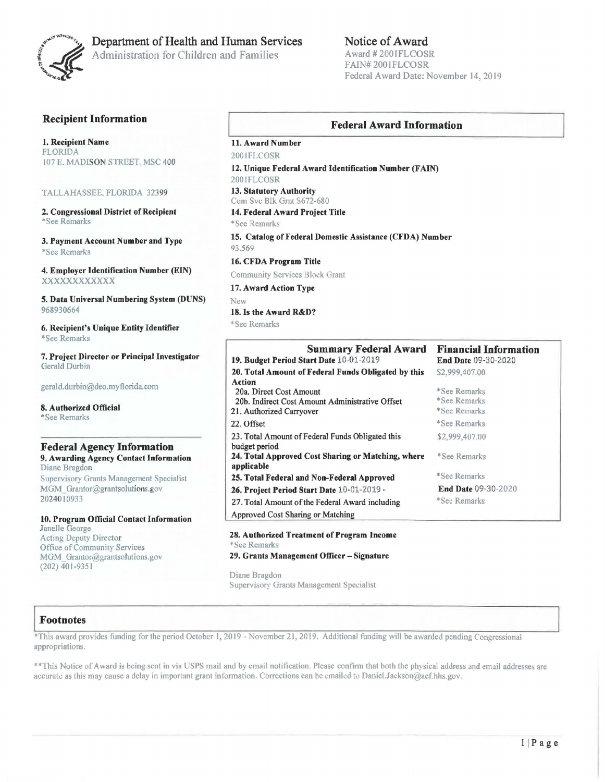

# Department of Health and Human Services

Administration for Children and Families

# Notice of Award

Award# 2001FLCOSR FAIN# 2001FLCOSR Federal Award Date: November 14, 2019

# Recipient Information

1. Recipient Name FLORIDA 107 E. MADISON STREET. MSC 400

### TALLAHASSEE. FLORIDA 32399

2. Congressional District of Recipient \* See Remarks

3. Payment Account Number and Type \*See Remarks

4. Employer Identification Number (EIN) xxxxxxxxxxxx

5. Data Universal Numbering System (DUNS) 968930664

6. Recipient's Unique Entity Identifier \*See Remarks

7. Project Director or Principal Investigator Gerald Durbin

gerald.durbin@deo.myflorida.com

8. Authorized Official \*See Remarks

### Federal Agency Information 9. Awarding Agency Contact Information

Diane Bragdon Supervisory Grants Management Specialist MGM\_Grantor@grantsolutions.gov 20240 10933

10. Program Official Contact Information Janelle George Acting Deputy Director Office of Community Services MGM\_ Grantor@grantsolutions.gov (202) 40 l -93 *5* l

### Federal Award Information

11. Award Number 2001ELCOSR

12. Unique Federal Award Identification Number (FAIN) 2001FLCOSR

13. Statutory Authority Com Svc Blk Grnt S672-680

14. Federal Award Project Title

\* See Remarks

15. Catalog of Federal Domestic Assistance (CFDA) Number 93.569

16. CFDA Program Title

Community Services Block Grant

17. Award Action Type New

18. Is the Award R&D?

\*See Remarks

### Summary Federal Award 19. Budget Period Start Date 10-01-2019 20. Total Amount of Federal Funds Obligated by this Action 20a. Direct Cost Amount 20b. Indirect Cost Amount Administrative Offset 21. Authorized Carryover 22. Offset 23. Total Amount of Federal Funds Obligated this budget period 24. Total Approved Cost Sharing or Matching, where applicable 25. Total Federal and Non-Federal Approved 26. Project Period Start Date 10-01-2019 .. 27. Total Amount of the Federal Award including Approved Cost Sharing or Matching Financial Information End Date 09-30-2020 \$2,999,407.00 \*See Remarks \*See Remarks \*See Remarks \*See Remarks \$2,999,407.00 \*See Remarks \*See Remarks End Date 09-30-2020 \*See Remarks

28. Authorized Treatment of Program Income • See Remarks 29. Grants Management Officer - Signature

Diane Bragdon Supervisory Grants Management Specialist

### **Footnotes**

\*This award provides funding for the period October 1, 2019 - November 21, 2019. Additional funding will be awarded pending Congressional appropriations.

\*\*This Notice of Award is being sent in via USPS mail and by email notification. Please confirm that both the physical address and email addresses are accurate as this may cause a delay in important grant information. Corrections can be emailed to Daniel.Jackson@acf.hhs.gov.